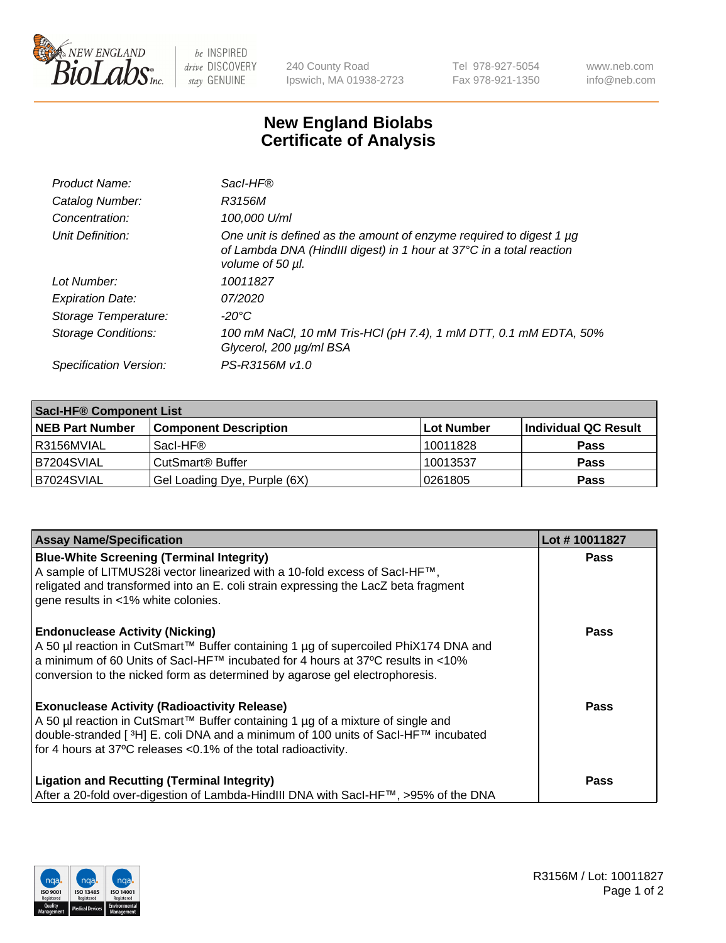

 $be$  INSPIRED drive DISCOVERY stay GENUINE

240 County Road Ipswich, MA 01938-2723 Tel 978-927-5054 Fax 978-921-1350 www.neb.com info@neb.com

## **New England Biolabs Certificate of Analysis**

| Product Name:              | Sacl-HF®                                                                                                                                                        |
|----------------------------|-----------------------------------------------------------------------------------------------------------------------------------------------------------------|
| Catalog Number:            | R3156M                                                                                                                                                          |
| Concentration:             | 100,000 U/ml                                                                                                                                                    |
| Unit Definition:           | One unit is defined as the amount of enzyme required to digest 1 µg<br>of Lambda DNA (HindIII digest) in 1 hour at 37°C in a total reaction<br>volume of 50 µl. |
| Lot Number:                | 10011827                                                                                                                                                        |
| <b>Expiration Date:</b>    | 07/2020                                                                                                                                                         |
| Storage Temperature:       | -20°C                                                                                                                                                           |
| <b>Storage Conditions:</b> | 100 mM NaCl, 10 mM Tris-HCl (pH 7.4), 1 mM DTT, 0.1 mM EDTA, 50%<br>Glycerol, 200 µg/ml BSA                                                                     |
| Specification Version:     | PS-R3156M v1.0                                                                                                                                                  |

| <b>Saci-HF® Component List</b> |                              |            |                      |  |  |
|--------------------------------|------------------------------|------------|----------------------|--|--|
| <b>NEB Part Number</b>         | <b>Component Description</b> | Lot Number | Individual QC Result |  |  |
| I R3156MVIAL                   | Sacl-HF®                     | 10011828   | <b>Pass</b>          |  |  |
| IB7204SVIAL                    | CutSmart <sup>®</sup> Buffer | 10013537   | <b>Pass</b>          |  |  |
| B7024SVIAL                     | Gel Loading Dye, Purple (6X) | 10261805   | <b>Pass</b>          |  |  |

| <b>Assay Name/Specification</b>                                                                                                                                                                                                                                                                            | Lot #10011827 |
|------------------------------------------------------------------------------------------------------------------------------------------------------------------------------------------------------------------------------------------------------------------------------------------------------------|---------------|
| <b>Blue-White Screening (Terminal Integrity)</b><br>A sample of LITMUS28i vector linearized with a 10-fold excess of SacI-HF™,<br>religated and transformed into an E. coli strain expressing the LacZ beta fragment<br>gene results in <1% white colonies.                                                | <b>Pass</b>   |
| <b>Endonuclease Activity (Nicking)</b><br>A 50 µl reaction in CutSmart™ Buffer containing 1 µg of supercoiled PhiX174 DNA and<br>a minimum of 60 Units of Sacl-HF™ incubated for 4 hours at 37°C results in <10%<br>conversion to the nicked form as determined by agarose gel electrophoresis.            | <b>Pass</b>   |
| <b>Exonuclease Activity (Radioactivity Release)</b><br>A 50 µl reaction in CutSmart™ Buffer containing 1 µg of a mixture of single and<br>double-stranded [ <sup>3</sup> H] E. coli DNA and a minimum of 100 units of Sacl-HF™ incubated<br>for 4 hours at 37°C releases <0.1% of the total radioactivity. | <b>Pass</b>   |
| <b>Ligation and Recutting (Terminal Integrity)</b><br>After a 20-fold over-digestion of Lambda-HindIII DNA with SacI-HF™, >95% of the DNA                                                                                                                                                                  | Pass          |